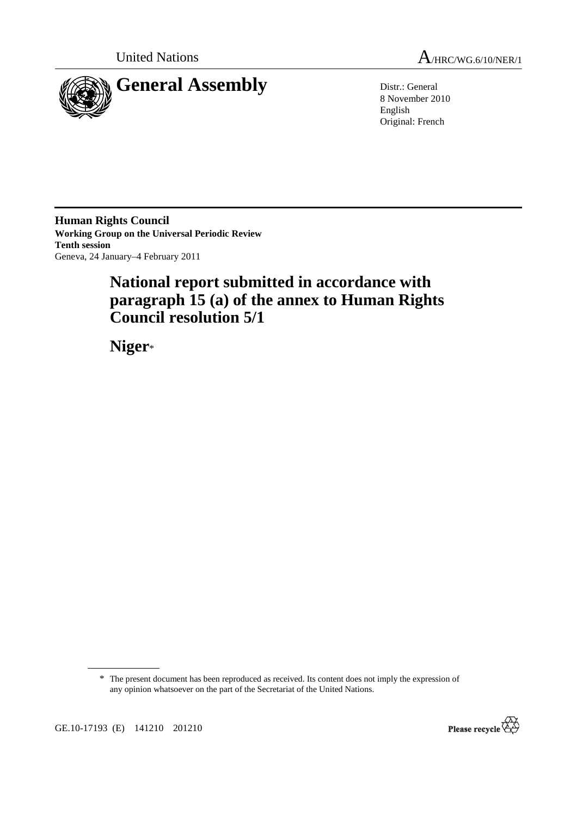



8 November 2010 English Original: French

**Human Rights Council Working Group on the Universal Periodic Review Tenth session**  Geneva, 24 January–4 February 2011

# **National report submitted in accordance with paragraph 15 (a) of the annex to Human Rights Council resolution 5/1**

 **Niger**\*

\* The present document has been reproduced as received. Its content does not imply the expression of any opinion whatsoever on the part of the Secretariat of the United Nations.

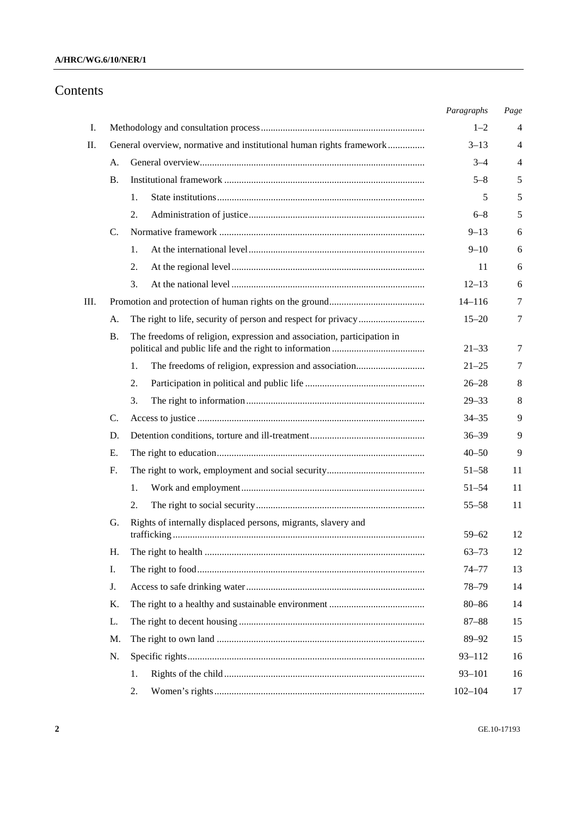### **A/HRC/WG.6/10/NER/1**

# Contents

|    |                                                                      |    |                                                                        | Paragraphs  | Page |
|----|----------------------------------------------------------------------|----|------------------------------------------------------------------------|-------------|------|
| Ι. |                                                                      |    |                                                                        | $1 - 2$     | 4    |
| П. | General overview, normative and institutional human rights framework |    |                                                                        | $3 - 13$    | 4    |
|    | A.                                                                   |    |                                                                        | $3 - 4$     | 4    |
|    | В.                                                                   |    |                                                                        | $5 - 8$     | 5    |
|    |                                                                      | 1. |                                                                        | 5           | 5    |
|    |                                                                      | 2. |                                                                        | $6 - 8$     | 5    |
|    | C.                                                                   |    |                                                                        | $9 - 13$    | 6    |
|    |                                                                      | 1. |                                                                        | $9 - 10$    | 6    |
|    |                                                                      | 2. |                                                                        | 11          | 6    |
|    |                                                                      | 3. |                                                                        | $12 - 13$   | 6    |
| Ш. |                                                                      |    |                                                                        |             | 7    |
|    | А.                                                                   |    | $15 - 20$                                                              | 7           |      |
|    | Β.                                                                   |    | The freedoms of religion, expression and association, participation in | $21 - 33$   | 7    |
|    |                                                                      | 1. |                                                                        | $21 - 25$   | 7    |
|    |                                                                      | 2. |                                                                        | $26 - 28$   | 8    |
|    |                                                                      | 3. |                                                                        | $29 - 33$   | 8    |
|    | C.                                                                   |    |                                                                        | $34 - 35$   | 9    |
|    | D.                                                                   |    |                                                                        | $36 - 39$   | 9    |
|    | Е.                                                                   |    |                                                                        | $40 - 50$   | 9    |
|    | F.                                                                   |    |                                                                        | $51 - 58$   | 11   |
|    |                                                                      | 1. |                                                                        | $51 - 54$   | 11   |
|    |                                                                      | 2. |                                                                        | $55 - 58$   | 11   |
|    | G.                                                                   |    | Rights of internally displaced persons, migrants, slavery and          |             |      |
|    |                                                                      |    | trafficking.                                                           | $59 - 62$   | 12   |
|    | Η.                                                                   |    |                                                                        | $63 - 73$   | 12   |
|    | Ι.                                                                   |    |                                                                        | $74 - 77$   | 13   |
|    | J.                                                                   |    |                                                                        | $78 - 79$   | 14   |
|    | Κ.                                                                   |    |                                                                        | $80 - 86$   | 14   |
|    | L.                                                                   |    |                                                                        | $87 - 88$   | 15   |
|    | M.                                                                   |    |                                                                        | 89-92       | 15   |
|    | N.                                                                   |    |                                                                        | $93 - 112$  | 16   |
|    |                                                                      | 1. |                                                                        | $93 - 101$  | 16   |
|    |                                                                      | 2. |                                                                        | $102 - 104$ | 17   |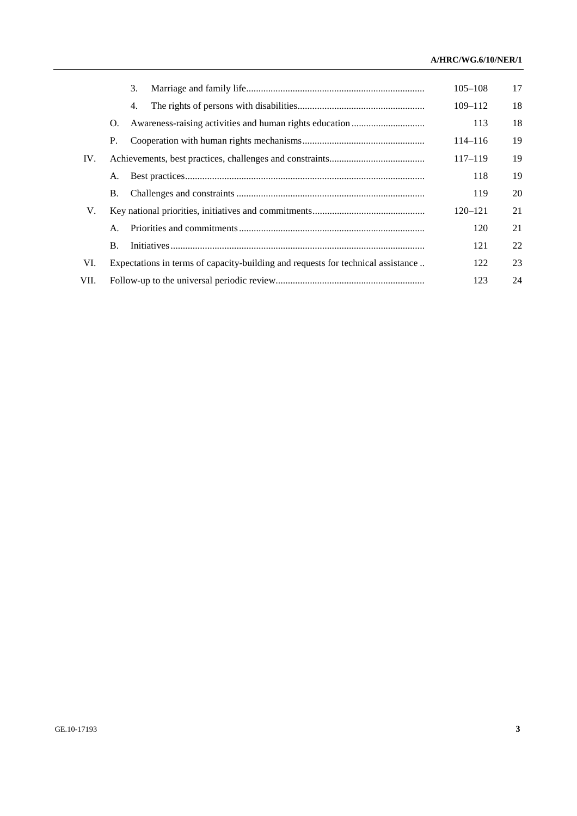### **A/HRC/WG.6/10/NER/1**

|      |    | 3.                                                                               | $105 - 108$ | 17 |
|------|----|----------------------------------------------------------------------------------|-------------|----|
|      |    | 4.                                                                               | $109 - 112$ | 18 |
|      | O. |                                                                                  | 113         | 18 |
|      | P. |                                                                                  | $114 - 116$ | 19 |
| IV.  |    |                                                                                  | $117 - 119$ | 19 |
|      | А. |                                                                                  | 118         | 19 |
|      | Β. |                                                                                  | 119         | 20 |
| V.   |    |                                                                                  | $120 - 121$ | 21 |
|      | A. |                                                                                  | 120         | 21 |
|      | Β. |                                                                                  | 121         | 22 |
| VI.  |    | Expectations in terms of capacity-building and requests for technical assistance | 122         | 23 |
| VII. |    |                                                                                  | 123         | 24 |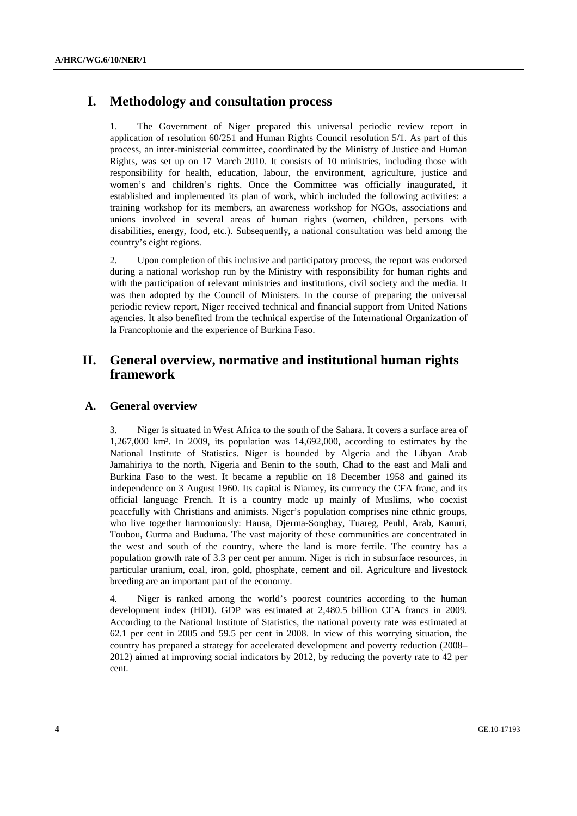# **I. Methodology and consultation process**

1. The Government of Niger prepared this universal periodic review report in application of resolution 60/251 and Human Rights Council resolution 5/1. As part of this process, an inter-ministerial committee, coordinated by the Ministry of Justice and Human Rights, was set up on 17 March 2010. It consists of 10 ministries, including those with responsibility for health, education, labour, the environment, agriculture, justice and women's and children's rights. Once the Committee was officially inaugurated, it established and implemented its plan of work, which included the following activities: a training workshop for its members, an awareness workshop for NGOs, associations and unions involved in several areas of human rights (women, children, persons with disabilities, energy, food, etc.). Subsequently, a national consultation was held among the country's eight regions.

2. Upon completion of this inclusive and participatory process, the report was endorsed during a national workshop run by the Ministry with responsibility for human rights and with the participation of relevant ministries and institutions, civil society and the media. It was then adopted by the Council of Ministers. In the course of preparing the universal periodic review report, Niger received technical and financial support from United Nations agencies. It also benefited from the technical expertise of the International Organization of la Francophonie and the experience of Burkina Faso.

# **II. General overview, normative and institutional human rights framework**

### **A. General overview**

3. Niger is situated in West Africa to the south of the Sahara. It covers a surface area of 1,267,000 km². In 2009, its population was 14,692,000, according to estimates by the National Institute of Statistics. Niger is bounded by Algeria and the Libyan Arab Jamahiriya to the north, Nigeria and Benin to the south, Chad to the east and Mali and Burkina Faso to the west. It became a republic on 18 December 1958 and gained its independence on 3 August 1960. Its capital is Niamey, its currency the CFA franc, and its official language French. It is a country made up mainly of Muslims, who coexist peacefully with Christians and animists. Niger's population comprises nine ethnic groups, who live together harmoniously: Hausa, Djerma-Songhay, Tuareg, Peuhl, Arab, Kanuri, Toubou, Gurma and Buduma. The vast majority of these communities are concentrated in the west and south of the country, where the land is more fertile. The country has a population growth rate of 3.3 per cent per annum. Niger is rich in subsurface resources, in particular uranium, coal, iron, gold, phosphate, cement and oil. Agriculture and livestock breeding are an important part of the economy.

4. Niger is ranked among the world's poorest countries according to the human development index (HDI). GDP was estimated at 2,480.5 billion CFA francs in 2009. According to the National Institute of Statistics, the national poverty rate was estimated at 62.1 per cent in 2005 and 59.5 per cent in 2008. In view of this worrying situation, the country has prepared a strategy for accelerated development and poverty reduction (2008– 2012) aimed at improving social indicators by 2012, by reducing the poverty rate to 42 per cent.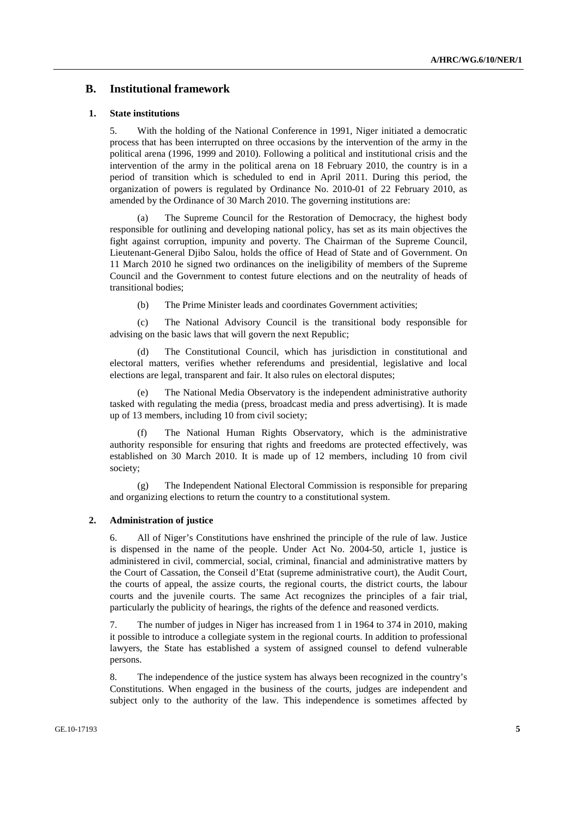### **B. Institutional framework**

#### **1. State institutions**

5. With the holding of the National Conference in 1991, Niger initiated a democratic process that has been interrupted on three occasions by the intervention of the army in the political arena (1996, 1999 and 2010). Following a political and institutional crisis and the intervention of the army in the political arena on 18 February 2010, the country is in a period of transition which is scheduled to end in April 2011. During this period, the organization of powers is regulated by Ordinance No. 2010-01 of 22 February 2010, as amended by the Ordinance of 30 March 2010. The governing institutions are:

 (a) The Supreme Council for the Restoration of Democracy, the highest body responsible for outlining and developing national policy, has set as its main objectives the fight against corruption, impunity and poverty. The Chairman of the Supreme Council, Lieutenant-General Djibo Salou, holds the office of Head of State and of Government. On 11 March 2010 he signed two ordinances on the ineligibility of members of the Supreme Council and the Government to contest future elections and on the neutrality of heads of transitional bodies;

(b) The Prime Minister leads and coordinates Government activities;

 (c) The National Advisory Council is the transitional body responsible for advising on the basic laws that will govern the next Republic;

 (d) The Constitutional Council, which has jurisdiction in constitutional and electoral matters, verifies whether referendums and presidential, legislative and local elections are legal, transparent and fair. It also rules on electoral disputes;

 (e) The National Media Observatory is the independent administrative authority tasked with regulating the media (press, broadcast media and press advertising). It is made up of 13 members, including 10 from civil society;

The National Human Rights Observatory, which is the administrative authority responsible for ensuring that rights and freedoms are protected effectively, was established on 30 March 2010. It is made up of 12 members, including 10 from civil society;

 (g) The Independent National Electoral Commission is responsible for preparing and organizing elections to return the country to a constitutional system.

#### **2. Administration of justice**

6. All of Niger's Constitutions have enshrined the principle of the rule of law. Justice is dispensed in the name of the people. Under Act No. 2004-50, article 1, justice is administered in civil, commercial, social, criminal, financial and administrative matters by the Court of Cassation, the Conseil d'Etat (supreme administrative court), the Audit Court, the courts of appeal, the assize courts, the regional courts, the district courts, the labour courts and the juvenile courts. The same Act recognizes the principles of a fair trial, particularly the publicity of hearings, the rights of the defence and reasoned verdicts.

7. The number of judges in Niger has increased from 1 in 1964 to 374 in 2010, making it possible to introduce a collegiate system in the regional courts. In addition to professional lawyers, the State has established a system of assigned counsel to defend vulnerable persons.

8. The independence of the justice system has always been recognized in the country's Constitutions. When engaged in the business of the courts, judges are independent and subject only to the authority of the law. This independence is sometimes affected by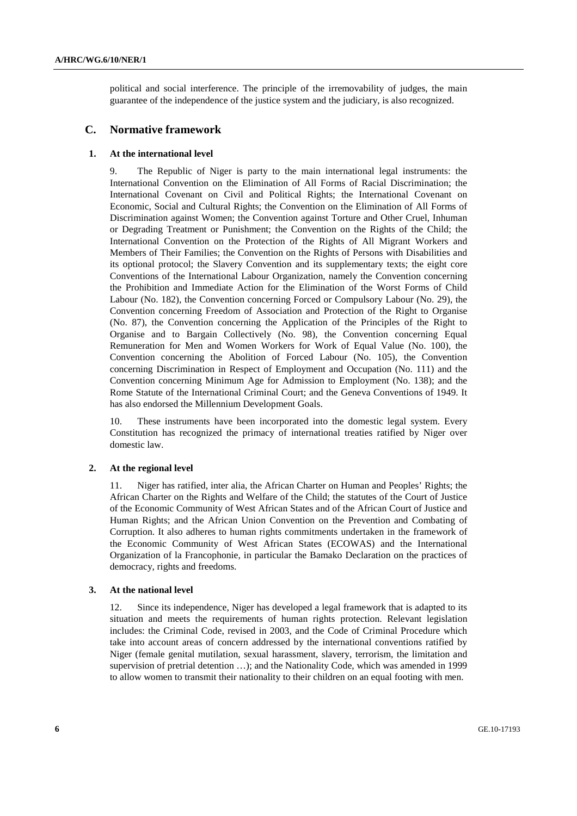political and social interference. The principle of the irremovability of judges, the main guarantee of the independence of the justice system and the judiciary, is also recognized.

### **C. Normative framework**

#### **1. At the international level**

9. The Republic of Niger is party to the main international legal instruments: the International Convention on the Elimination of All Forms of Racial Discrimination; the International Covenant on Civil and Political Rights; the International Covenant on Economic, Social and Cultural Rights; the Convention on the Elimination of All Forms of Discrimination against Women; the Convention against Torture and Other Cruel, Inhuman or Degrading Treatment or Punishment; the Convention on the Rights of the Child; the International Convention on the Protection of the Rights of All Migrant Workers and Members of Their Families; the Convention on the Rights of Persons with Disabilities and its optional protocol; the Slavery Convention and its supplementary texts; the eight core Conventions of the International Labour Organization, namely the Convention concerning the Prohibition and Immediate Action for the Elimination of the Worst Forms of Child Labour (No. 182), the Convention concerning Forced or Compulsory Labour (No. 29), the Convention concerning Freedom of Association and Protection of the Right to Organise (No. 87), the Convention concerning the Application of the Principles of the Right to Organise and to Bargain Collectively (No. 98), the Convention concerning Equal Remuneration for Men and Women Workers for Work of Equal Value (No. 100), the Convention concerning the Abolition of Forced Labour (No. 105), the Convention concerning Discrimination in Respect of Employment and Occupation (No. 111) and the Convention concerning Minimum Age for Admission to Employment (No. 138); and the Rome Statute of the International Criminal Court; and the Geneva Conventions of 1949. It has also endorsed the Millennium Development Goals.

10. These instruments have been incorporated into the domestic legal system. Every Constitution has recognized the primacy of international treaties ratified by Niger over domestic law.

#### **2. At the regional level**

11. Niger has ratified, inter alia, the African Charter on Human and Peoples' Rights; the African Charter on the Rights and Welfare of the Child; the statutes of the Court of Justice of the Economic Community of West African States and of the African Court of Justice and Human Rights; and the African Union Convention on the Prevention and Combating of Corruption. It also adheres to human rights commitments undertaken in the framework of the Economic Community of West African States (ECOWAS) and the International Organization of la Francophonie, in particular the Bamako Declaration on the practices of democracy, rights and freedoms.

#### **3. At the national level**

12. Since its independence, Niger has developed a legal framework that is adapted to its situation and meets the requirements of human rights protection. Relevant legislation includes: the Criminal Code, revised in 2003, and the Code of Criminal Procedure which take into account areas of concern addressed by the international conventions ratified by Niger (female genital mutilation, sexual harassment, slavery, terrorism, the limitation and supervision of pretrial detention …); and the Nationality Code, which was amended in 1999 to allow women to transmit their nationality to their children on an equal footing with men.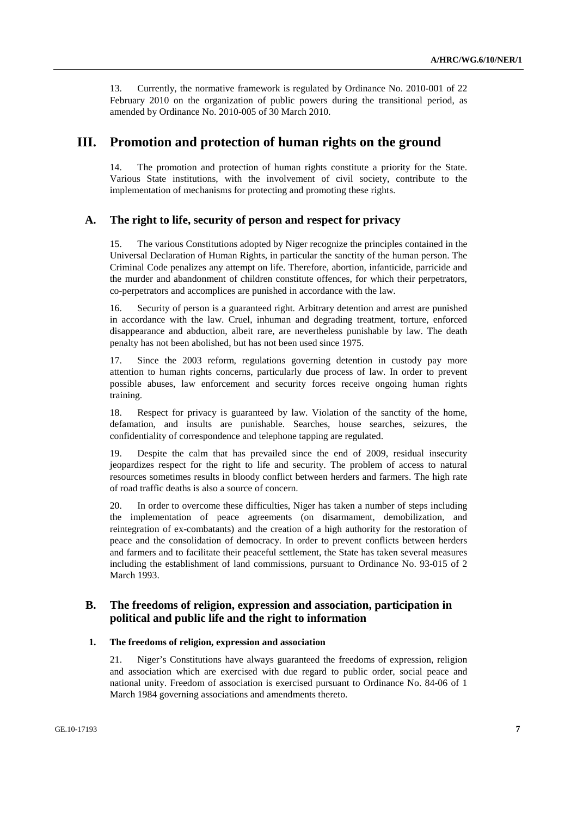13. Currently, the normative framework is regulated by Ordinance No. 2010-001 of 22 February 2010 on the organization of public powers during the transitional period, as amended by Ordinance No. 2010-005 of 30 March 2010.

# **III. Promotion and protection of human rights on the ground**

14. The promotion and protection of human rights constitute a priority for the State. Various State institutions, with the involvement of civil society, contribute to the implementation of mechanisms for protecting and promoting these rights.

### **A. The right to life, security of person and respect for privacy**

15. The various Constitutions adopted by Niger recognize the principles contained in the Universal Declaration of Human Rights, in particular the sanctity of the human person. The Criminal Code penalizes any attempt on life. Therefore, abortion, infanticide, parricide and the murder and abandonment of children constitute offences, for which their perpetrators, co-perpetrators and accomplices are punished in accordance with the law.

16. Security of person is a guaranteed right. Arbitrary detention and arrest are punished in accordance with the law. Cruel, inhuman and degrading treatment, torture, enforced disappearance and abduction, albeit rare, are nevertheless punishable by law. The death penalty has not been abolished, but has not been used since 1975.

17. Since the 2003 reform, regulations governing detention in custody pay more attention to human rights concerns, particularly due process of law. In order to prevent possible abuses, law enforcement and security forces receive ongoing human rights training.

18. Respect for privacy is guaranteed by law. Violation of the sanctity of the home, defamation, and insults are punishable. Searches, house searches, seizures, the confidentiality of correspondence and telephone tapping are regulated.

19. Despite the calm that has prevailed since the end of 2009, residual insecurity jeopardizes respect for the right to life and security. The problem of access to natural resources sometimes results in bloody conflict between herders and farmers. The high rate of road traffic deaths is also a source of concern.

20. In order to overcome these difficulties, Niger has taken a number of steps including the implementation of peace agreements (on disarmament, demobilization, and reintegration of ex-combatants) and the creation of a high authority for the restoration of peace and the consolidation of democracy. In order to prevent conflicts between herders and farmers and to facilitate their peaceful settlement, the State has taken several measures including the establishment of land commissions, pursuant to Ordinance No. 93-015 of 2 March 1993.

### **B. The freedoms of religion, expression and association, participation in political and public life and the right to information**

#### **1. The freedoms of religion, expression and association**

21. Niger's Constitutions have always guaranteed the freedoms of expression, religion and association which are exercised with due regard to public order, social peace and national unity. Freedom of association is exercised pursuant to Ordinance No. 84-06 of 1 March 1984 governing associations and amendments thereto.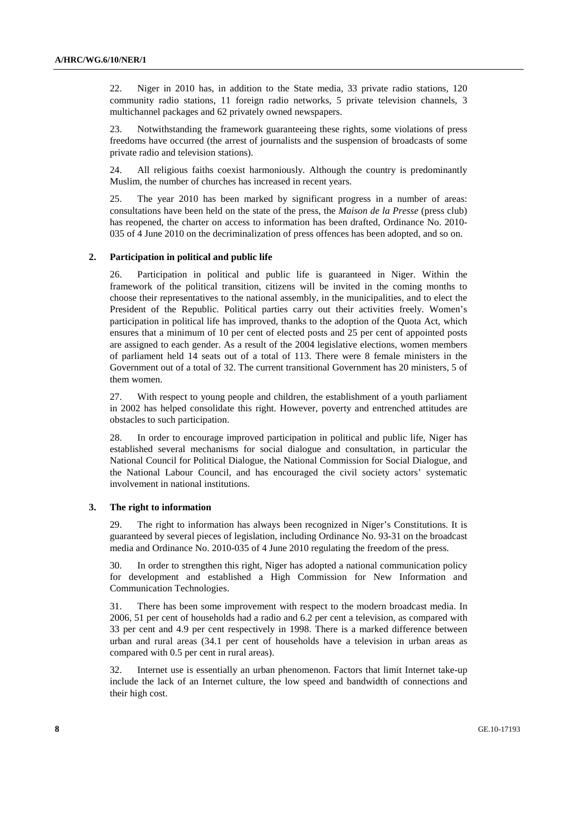22. Niger in 2010 has, in addition to the State media, 33 private radio stations, 120 community radio stations, 11 foreign radio networks, 5 private television channels, 3 multichannel packages and 62 privately owned newspapers.

23. Notwithstanding the framework guaranteeing these rights, some violations of press freedoms have occurred (the arrest of journalists and the suspension of broadcasts of some private radio and television stations).

24. All religious faiths coexist harmoniously. Although the country is predominantly Muslim, the number of churches has increased in recent years.

25. The year 2010 has been marked by significant progress in a number of areas: consultations have been held on the state of the press, the *Maison de la Presse* (press club) has reopened, the charter on access to information has been drafted, Ordinance No. 2010- 035 of 4 June 2010 on the decriminalization of press offences has been adopted, and so on.

#### **2. Participation in political and public life**

26. Participation in political and public life is guaranteed in Niger. Within the framework of the political transition, citizens will be invited in the coming months to choose their representatives to the national assembly, in the municipalities, and to elect the President of the Republic. Political parties carry out their activities freely. Women's participation in political life has improved, thanks to the adoption of the Quota Act, which ensures that a minimum of 10 per cent of elected posts and 25 per cent of appointed posts are assigned to each gender. As a result of the 2004 legislative elections, women members of parliament held 14 seats out of a total of 113. There were 8 female ministers in the Government out of a total of 32. The current transitional Government has 20 ministers, 5 of them women.

27. With respect to young people and children, the establishment of a youth parliament in 2002 has helped consolidate this right. However, poverty and entrenched attitudes are obstacles to such participation.

28. In order to encourage improved participation in political and public life, Niger has established several mechanisms for social dialogue and consultation, in particular the National Council for Political Dialogue, the National Commission for Social Dialogue, and the National Labour Council, and has encouraged the civil society actors' systematic involvement in national institutions.

### **3. The right to information**

29. The right to information has always been recognized in Niger's Constitutions. It is guaranteed by several pieces of legislation, including Ordinance No. 93-31 on the broadcast media and Ordinance No. 2010-035 of 4 June 2010 regulating the freedom of the press.

30. In order to strengthen this right, Niger has adopted a national communication policy for development and established a High Commission for New Information and Communication Technologies.

31. There has been some improvement with respect to the modern broadcast media. In 2006, 51 per cent of households had a radio and 6.2 per cent a television, as compared with 33 per cent and 4.9 per cent respectively in 1998. There is a marked difference between urban and rural areas (34.1 per cent of households have a television in urban areas as compared with 0.5 per cent in rural areas).

32. Internet use is essentially an urban phenomenon. Factors that limit Internet take-up include the lack of an Internet culture, the low speed and bandwidth of connections and their high cost.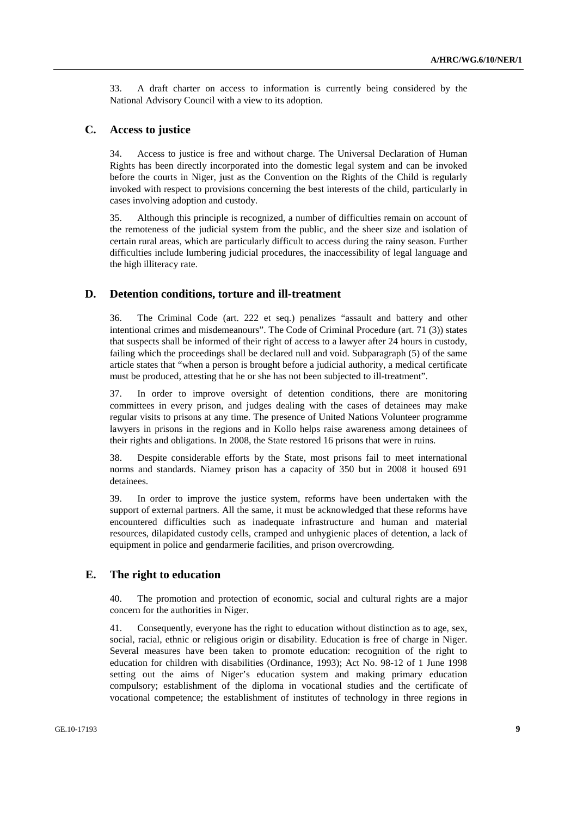33. A draft charter on access to information is currently being considered by the National Advisory Council with a view to its adoption.

#### **C. Access to justice**

34. Access to justice is free and without charge. The Universal Declaration of Human Rights has been directly incorporated into the domestic legal system and can be invoked before the courts in Niger, just as the Convention on the Rights of the Child is regularly invoked with respect to provisions concerning the best interests of the child, particularly in cases involving adoption and custody.

35. Although this principle is recognized, a number of difficulties remain on account of the remoteness of the judicial system from the public, and the sheer size and isolation of certain rural areas, which are particularly difficult to access during the rainy season. Further difficulties include lumbering judicial procedures, the inaccessibility of legal language and the high illiteracy rate.

### **D. Detention conditions, torture and ill-treatment**

36. The Criminal Code (art. 222 et seq.) penalizes "assault and battery and other intentional crimes and misdemeanours". The Code of Criminal Procedure (art. 71 (3)) states that suspects shall be informed of their right of access to a lawyer after 24 hours in custody, failing which the proceedings shall be declared null and void. Subparagraph (5) of the same article states that "when a person is brought before a judicial authority, a medical certificate must be produced, attesting that he or she has not been subjected to ill-treatment".

37. In order to improve oversight of detention conditions, there are monitoring committees in every prison, and judges dealing with the cases of detainees may make regular visits to prisons at any time. The presence of United Nations Volunteer programme lawyers in prisons in the regions and in Kollo helps raise awareness among detainees of their rights and obligations. In 2008, the State restored 16 prisons that were in ruins.

38. Despite considerable efforts by the State, most prisons fail to meet international norms and standards. Niamey prison has a capacity of 350 but in 2008 it housed 691 detainees.

39. In order to improve the justice system, reforms have been undertaken with the support of external partners. All the same, it must be acknowledged that these reforms have encountered difficulties such as inadequate infrastructure and human and material resources, dilapidated custody cells, cramped and unhygienic places of detention, a lack of equipment in police and gendarmerie facilities, and prison overcrowding.

### **E. The right to education**

40. The promotion and protection of economic, social and cultural rights are a major concern for the authorities in Niger.

41. Consequently, everyone has the right to education without distinction as to age, sex, social, racial, ethnic or religious origin or disability. Education is free of charge in Niger. Several measures have been taken to promote education: recognition of the right to education for children with disabilities (Ordinance, 1993); Act No. 98-12 of 1 June 1998 setting out the aims of Niger's education system and making primary education compulsory; establishment of the diploma in vocational studies and the certificate of vocational competence; the establishment of institutes of technology in three regions in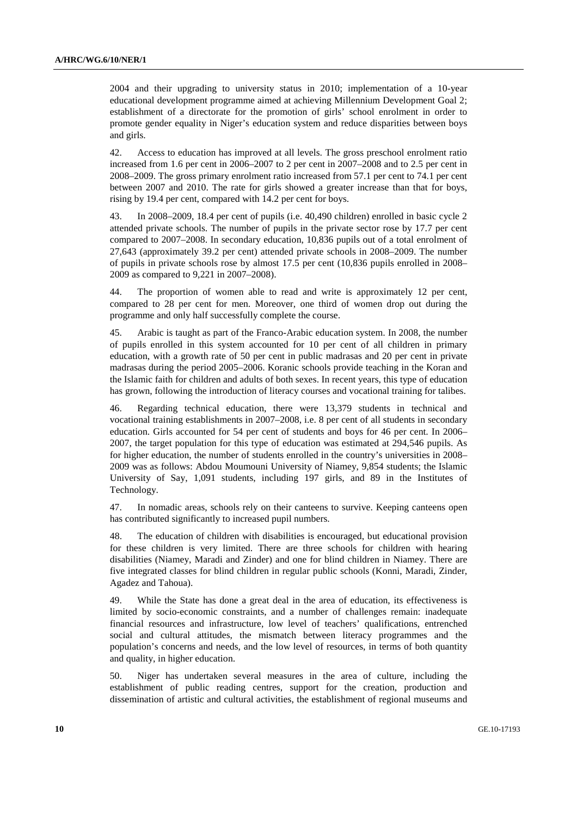2004 and their upgrading to university status in 2010; implementation of a 10-year educational development programme aimed at achieving Millennium Development Goal 2; establishment of a directorate for the promotion of girls' school enrolment in order to promote gender equality in Niger's education system and reduce disparities between boys and girls.

42. Access to education has improved at all levels. The gross preschool enrolment ratio increased from 1.6 per cent in 2006–2007 to 2 per cent in 2007–2008 and to 2.5 per cent in 2008–2009. The gross primary enrolment ratio increased from 57.1 per cent to 74.1 per cent between 2007 and 2010. The rate for girls showed a greater increase than that for boys, rising by 19.4 per cent, compared with 14.2 per cent for boys.

43. In 2008–2009, 18.4 per cent of pupils (i.e. 40,490 children) enrolled in basic cycle 2 attended private schools. The number of pupils in the private sector rose by 17.7 per cent compared to 2007–2008. In secondary education, 10,836 pupils out of a total enrolment of 27,643 (approximately 39.2 per cent) attended private schools in 2008–2009. The number of pupils in private schools rose by almost 17.5 per cent (10,836 pupils enrolled in 2008– 2009 as compared to 9,221 in 2007–2008).

44. The proportion of women able to read and write is approximately 12 per cent, compared to 28 per cent for men. Moreover, one third of women drop out during the programme and only half successfully complete the course.

45. Arabic is taught as part of the Franco-Arabic education system. In 2008, the number of pupils enrolled in this system accounted for 10 per cent of all children in primary education, with a growth rate of 50 per cent in public madrasas and 20 per cent in private madrasas during the period 2005–2006. Koranic schools provide teaching in the Koran and the Islamic faith for children and adults of both sexes. In recent years, this type of education has grown, following the introduction of literacy courses and vocational training for talibes.

46. Regarding technical education, there were 13,379 students in technical and vocational training establishments in 2007–2008, i.e. 8 per cent of all students in secondary education. Girls accounted for 54 per cent of students and boys for 46 per cent. In 2006– 2007, the target population for this type of education was estimated at 294,546 pupils. As for higher education, the number of students enrolled in the country's universities in 2008– 2009 was as follows: Abdou Moumouni University of Niamey, 9,854 students; the Islamic University of Say, 1,091 students, including 197 girls, and 89 in the Institutes of Technology.

47. In nomadic areas, schools rely on their canteens to survive. Keeping canteens open has contributed significantly to increased pupil numbers.

48. The education of children with disabilities is encouraged, but educational provision for these children is very limited. There are three schools for children with hearing disabilities (Niamey, Maradi and Zinder) and one for blind children in Niamey. There are five integrated classes for blind children in regular public schools (Konni, Maradi, Zinder, Agadez and Tahoua).

49. While the State has done a great deal in the area of education, its effectiveness is limited by socio-economic constraints, and a number of challenges remain: inadequate financial resources and infrastructure, low level of teachers' qualifications, entrenched social and cultural attitudes, the mismatch between literacy programmes and the population's concerns and needs, and the low level of resources, in terms of both quantity and quality, in higher education.

50. Niger has undertaken several measures in the area of culture, including the establishment of public reading centres, support for the creation, production and dissemination of artistic and cultural activities, the establishment of regional museums and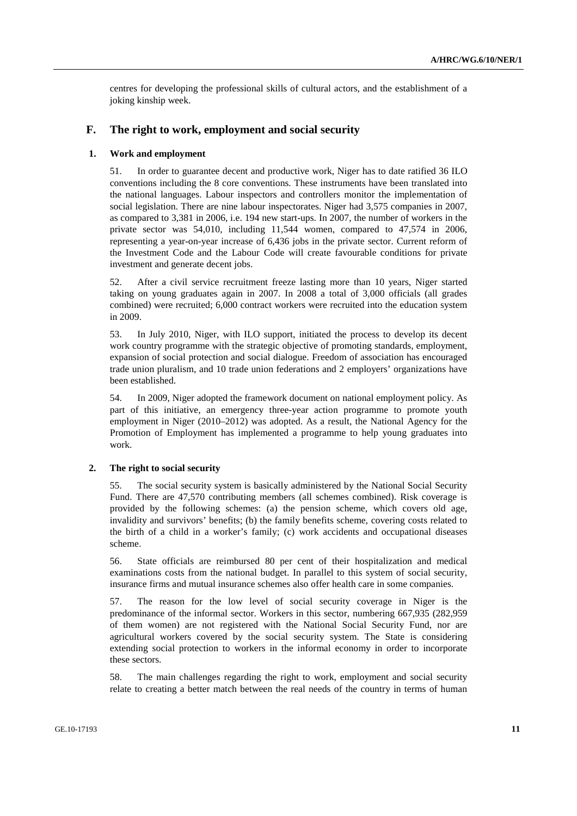centres for developing the professional skills of cultural actors, and the establishment of a joking kinship week.

### **F. The right to work, employment and social security**

#### **1. Work and employment**

51. In order to guarantee decent and productive work, Niger has to date ratified 36 ILO conventions including the 8 core conventions. These instruments have been translated into the national languages. Labour inspectors and controllers monitor the implementation of social legislation. There are nine labour inspectorates. Niger had 3,575 companies in 2007, as compared to 3,381 in 2006, i.e. 194 new start-ups. In 2007, the number of workers in the private sector was 54,010, including 11,544 women, compared to 47,574 in 2006, representing a year-on-year increase of 6,436 jobs in the private sector. Current reform of the Investment Code and the Labour Code will create favourable conditions for private investment and generate decent jobs.

52. After a civil service recruitment freeze lasting more than 10 years, Niger started taking on young graduates again in 2007. In 2008 a total of 3,000 officials (all grades combined) were recruited; 6,000 contract workers were recruited into the education system in 2009.

53. In July 2010, Niger, with ILO support, initiated the process to develop its decent work country programme with the strategic objective of promoting standards, employment, expansion of social protection and social dialogue. Freedom of association has encouraged trade union pluralism, and 10 trade union federations and 2 employers' organizations have been established.

54. In 2009, Niger adopted the framework document on national employment policy. As part of this initiative, an emergency three-year action programme to promote youth employment in Niger (2010–2012) was adopted. As a result, the National Agency for the Promotion of Employment has implemented a programme to help young graduates into work.

#### **2. The right to social security**

55. The social security system is basically administered by the National Social Security Fund. There are 47,570 contributing members (all schemes combined). Risk coverage is provided by the following schemes: (a) the pension scheme, which covers old age, invalidity and survivors' benefits; (b) the family benefits scheme, covering costs related to the birth of a child in a worker's family; (c) work accidents and occupational diseases scheme.

56. State officials are reimbursed 80 per cent of their hospitalization and medical examinations costs from the national budget. In parallel to this system of social security, insurance firms and mutual insurance schemes also offer health care in some companies.

57. The reason for the low level of social security coverage in Niger is the predominance of the informal sector. Workers in this sector, numbering 667,935 (282,959 of them women) are not registered with the National Social Security Fund, nor are agricultural workers covered by the social security system. The State is considering extending social protection to workers in the informal economy in order to incorporate these sectors.

58. The main challenges regarding the right to work, employment and social security relate to creating a better match between the real needs of the country in terms of human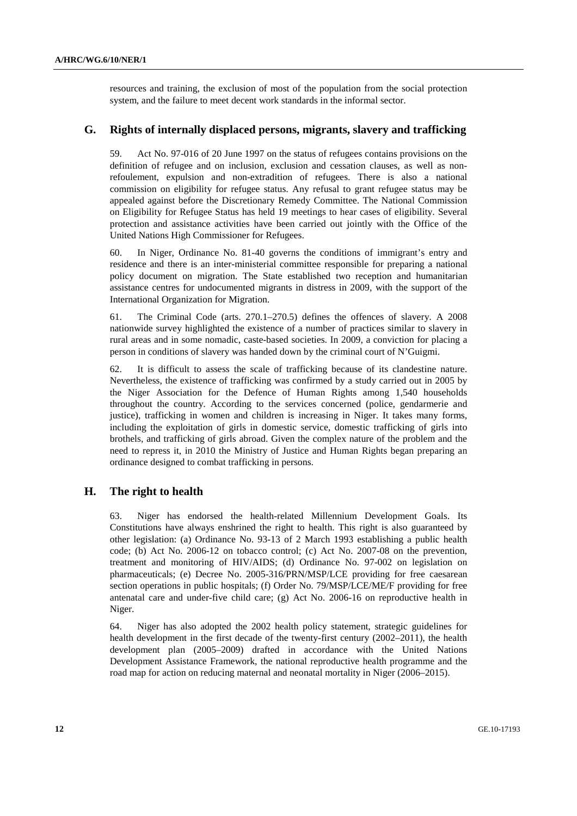resources and training, the exclusion of most of the population from the social protection system, and the failure to meet decent work standards in the informal sector.

### **G. Rights of internally displaced persons, migrants, slavery and trafficking**

59. Act No. 97-016 of 20 June 1997 on the status of refugees contains provisions on the definition of refugee and on inclusion, exclusion and cessation clauses, as well as nonrefoulement, expulsion and non-extradition of refugees. There is also a national commission on eligibility for refugee status. Any refusal to grant refugee status may be appealed against before the Discretionary Remedy Committee. The National Commission on Eligibility for Refugee Status has held 19 meetings to hear cases of eligibility. Several protection and assistance activities have been carried out jointly with the Office of the United Nations High Commissioner for Refugees.

60. In Niger, Ordinance No. 81-40 governs the conditions of immigrant's entry and residence and there is an inter-ministerial committee responsible for preparing a national policy document on migration. The State established two reception and humanitarian assistance centres for undocumented migrants in distress in 2009, with the support of the International Organization for Migration.

61. The Criminal Code (arts. 270.1–270.5) defines the offences of slavery. A 2008 nationwide survey highlighted the existence of a number of practices similar to slavery in rural areas and in some nomadic, caste-based societies. In 2009, a conviction for placing a person in conditions of slavery was handed down by the criminal court of N'Guigmi.

62. It is difficult to assess the scale of trafficking because of its clandestine nature. Nevertheless, the existence of trafficking was confirmed by a study carried out in 2005 by the Niger Association for the Defence of Human Rights among 1,540 households throughout the country. According to the services concerned (police, gendarmerie and justice), trafficking in women and children is increasing in Niger. It takes many forms, including the exploitation of girls in domestic service, domestic trafficking of girls into brothels, and trafficking of girls abroad. Given the complex nature of the problem and the need to repress it, in 2010 the Ministry of Justice and Human Rights began preparing an ordinance designed to combat trafficking in persons.

### **H. The right to health**

63. Niger has endorsed the health-related Millennium Development Goals. Its Constitutions have always enshrined the right to health. This right is also guaranteed by other legislation: (a) Ordinance No. 93-13 of 2 March 1993 establishing a public health code; (b) Act No. 2006-12 on tobacco control; (c) Act No. 2007-08 on the prevention, treatment and monitoring of HIV/AIDS; (d) Ordinance No. 97-002 on legislation on pharmaceuticals; (e) Decree No. 2005-316/PRN/MSP/LCE providing for free caesarean section operations in public hospitals; (f) Order No. 79/MSP/LCE/ME/F providing for free antenatal care and under-five child care; (g) Act No. 2006-16 on reproductive health in Niger.

64. Niger has also adopted the 2002 health policy statement, strategic guidelines for health development in the first decade of the twenty-first century (2002–2011), the health development plan (2005–2009) drafted in accordance with the United Nations Development Assistance Framework, the national reproductive health programme and the road map for action on reducing maternal and neonatal mortality in Niger (2006–2015).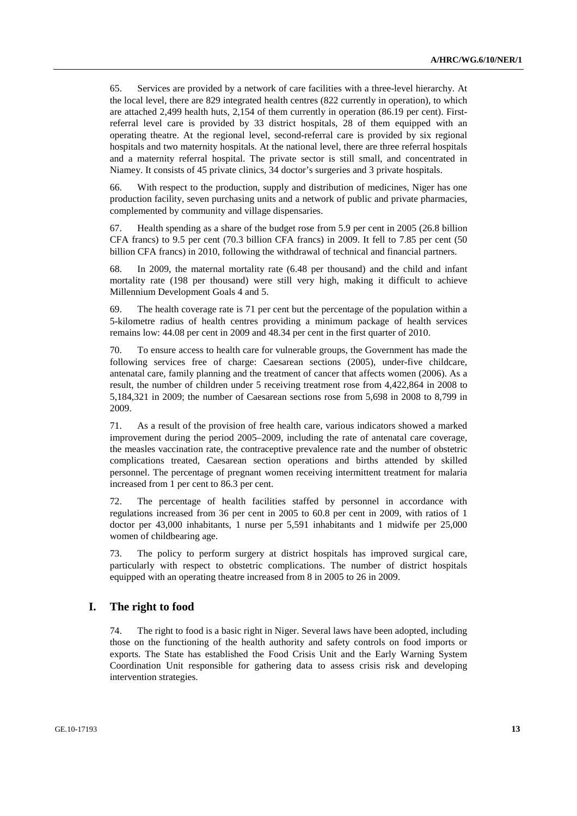65. Services are provided by a network of care facilities with a three-level hierarchy. At the local level, there are 829 integrated health centres (822 currently in operation), to which are attached 2,499 health huts, 2,154 of them currently in operation (86.19 per cent). Firstreferral level care is provided by 33 district hospitals, 28 of them equipped with an operating theatre. At the regional level, second-referral care is provided by six regional hospitals and two maternity hospitals. At the national level, there are three referral hospitals and a maternity referral hospital. The private sector is still small, and concentrated in Niamey. It consists of 45 private clinics, 34 doctor's surgeries and 3 private hospitals.

66. With respect to the production, supply and distribution of medicines, Niger has one production facility, seven purchasing units and a network of public and private pharmacies, complemented by community and village dispensaries.

67. Health spending as a share of the budget rose from 5.9 per cent in 2005 (26.8 billion CFA francs) to 9.5 per cent (70.3 billion CFA francs) in 2009. It fell to 7.85 per cent (50 billion CFA francs) in 2010, following the withdrawal of technical and financial partners.

68. In 2009, the maternal mortality rate (6.48 per thousand) and the child and infant mortality rate (198 per thousand) were still very high, making it difficult to achieve Millennium Development Goals 4 and 5.

69. The health coverage rate is 71 per cent but the percentage of the population within a 5-kilometre radius of health centres providing a minimum package of health services remains low: 44.08 per cent in 2009 and 48.34 per cent in the first quarter of 2010.

70. To ensure access to health care for vulnerable groups, the Government has made the following services free of charge: Caesarean sections (2005), under-five childcare, antenatal care, family planning and the treatment of cancer that affects women (2006). As a result, the number of children under 5 receiving treatment rose from 4,422,864 in 2008 to 5,184,321 in 2009; the number of Caesarean sections rose from 5,698 in 2008 to 8,799 in 2009.

71. As a result of the provision of free health care, various indicators showed a marked improvement during the period 2005–2009, including the rate of antenatal care coverage, the measles vaccination rate, the contraceptive prevalence rate and the number of obstetric complications treated, Caesarean section operations and births attended by skilled personnel. The percentage of pregnant women receiving intermittent treatment for malaria increased from 1 per cent to 86.3 per cent.

72. The percentage of health facilities staffed by personnel in accordance with regulations increased from 36 per cent in 2005 to 60.8 per cent in 2009, with ratios of 1 doctor per 43,000 inhabitants, 1 nurse per 5,591 inhabitants and 1 midwife per 25,000 women of childbearing age.

73. The policy to perform surgery at district hospitals has improved surgical care, particularly with respect to obstetric complications. The number of district hospitals equipped with an operating theatre increased from 8 in 2005 to 26 in 2009.

#### **I. The right to food**

74. The right to food is a basic right in Niger. Several laws have been adopted, including those on the functioning of the health authority and safety controls on food imports or exports. The State has established the Food Crisis Unit and the Early Warning System Coordination Unit responsible for gathering data to assess crisis risk and developing intervention strategies.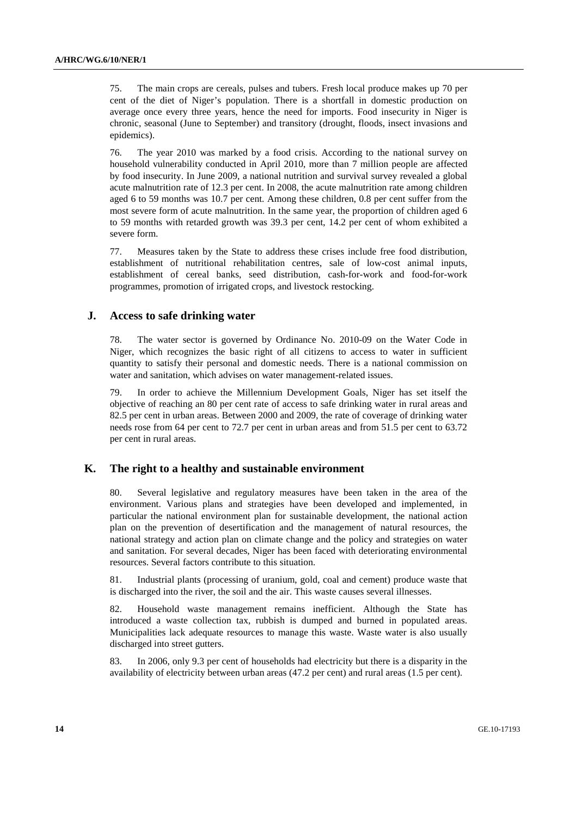75. The main crops are cereals, pulses and tubers. Fresh local produce makes up 70 per cent of the diet of Niger's population. There is a shortfall in domestic production on average once every three years, hence the need for imports. Food insecurity in Niger is chronic, seasonal (June to September) and transitory (drought, floods, insect invasions and epidemics).

76. The year 2010 was marked by a food crisis. According to the national survey on household vulnerability conducted in April 2010, more than 7 million people are affected by food insecurity. In June 2009, a national nutrition and survival survey revealed a global acute malnutrition rate of 12.3 per cent. In 2008, the acute malnutrition rate among children aged 6 to 59 months was 10.7 per cent. Among these children, 0.8 per cent suffer from the most severe form of acute malnutrition. In the same year, the proportion of children aged 6 to 59 months with retarded growth was 39.3 per cent, 14.2 per cent of whom exhibited a severe form.

77. Measures taken by the State to address these crises include free food distribution, establishment of nutritional rehabilitation centres, sale of low-cost animal inputs, establishment of cereal banks, seed distribution, cash-for-work and food-for-work programmes, promotion of irrigated crops, and livestock restocking.

### **J. Access to safe drinking water**

78. The water sector is governed by Ordinance No. 2010-09 on the Water Code in Niger, which recognizes the basic right of all citizens to access to water in sufficient quantity to satisfy their personal and domestic needs. There is a national commission on water and sanitation, which advises on water management-related issues.

79. In order to achieve the Millennium Development Goals, Niger has set itself the objective of reaching an 80 per cent rate of access to safe drinking water in rural areas and 82.5 per cent in urban areas. Between 2000 and 2009, the rate of coverage of drinking water needs rose from 64 per cent to 72.7 per cent in urban areas and from 51.5 per cent to 63.72 per cent in rural areas.

### **K. The right to a healthy and sustainable environment**

80. Several legislative and regulatory measures have been taken in the area of the environment. Various plans and strategies have been developed and implemented, in particular the national environment plan for sustainable development, the national action plan on the prevention of desertification and the management of natural resources, the national strategy and action plan on climate change and the policy and strategies on water and sanitation. For several decades, Niger has been faced with deteriorating environmental resources. Several factors contribute to this situation.

81. Industrial plants (processing of uranium, gold, coal and cement) produce waste that is discharged into the river, the soil and the air. This waste causes several illnesses.

82. Household waste management remains inefficient. Although the State has introduced a waste collection tax, rubbish is dumped and burned in populated areas. Municipalities lack adequate resources to manage this waste. Waste water is also usually discharged into street gutters.

83. In 2006, only 9.3 per cent of households had electricity but there is a disparity in the availability of electricity between urban areas (47.2 per cent) and rural areas (1.5 per cent).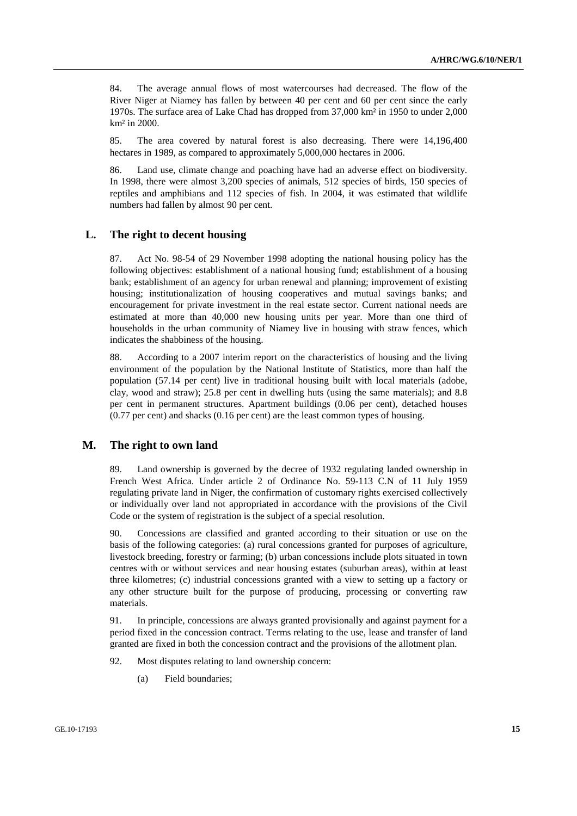84. The average annual flows of most watercourses had decreased. The flow of the River Niger at Niamey has fallen by between 40 per cent and 60 per cent since the early 1970s. The surface area of Lake Chad has dropped from 37,000 km² in 1950 to under 2,000 km² in 2000.

85. The area covered by natural forest is also decreasing. There were 14,196,400 hectares in 1989, as compared to approximately 5,000,000 hectares in 2006.

86. Land use, climate change and poaching have had an adverse effect on biodiversity. In 1998, there were almost 3,200 species of animals, 512 species of birds, 150 species of reptiles and amphibians and 112 species of fish. In 2004, it was estimated that wildlife numbers had fallen by almost 90 per cent.

### **L. The right to decent housing**

87. Act No. 98-54 of 29 November 1998 adopting the national housing policy has the following objectives: establishment of a national housing fund; establishment of a housing bank; establishment of an agency for urban renewal and planning; improvement of existing housing; institutionalization of housing cooperatives and mutual savings banks; and encouragement for private investment in the real estate sector. Current national needs are estimated at more than 40,000 new housing units per year. More than one third of households in the urban community of Niamey live in housing with straw fences, which indicates the shabbiness of the housing.

88. According to a 2007 interim report on the characteristics of housing and the living environment of the population by the National Institute of Statistics, more than half the population (57.14 per cent) live in traditional housing built with local materials (adobe, clay, wood and straw); 25.8 per cent in dwelling huts (using the same materials); and 8.8 per cent in permanent structures. Apartment buildings (0.06 per cent), detached houses (0.77 per cent) and shacks (0.16 per cent) are the least common types of housing.

### **M. The right to own land**

89. Land ownership is governed by the decree of 1932 regulating landed ownership in French West Africa. Under article 2 of Ordinance No. 59-113 C.N of 11 July 1959 regulating private land in Niger, the confirmation of customary rights exercised collectively or individually over land not appropriated in accordance with the provisions of the Civil Code or the system of registration is the subject of a special resolution.

90. Concessions are classified and granted according to their situation or use on the basis of the following categories: (a) rural concessions granted for purposes of agriculture, livestock breeding, forestry or farming; (b) urban concessions include plots situated in town centres with or without services and near housing estates (suburban areas), within at least three kilometres; (c) industrial concessions granted with a view to setting up a factory or any other structure built for the purpose of producing, processing or converting raw materials.

91. In principle, concessions are always granted provisionally and against payment for a period fixed in the concession contract. Terms relating to the use, lease and transfer of land granted are fixed in both the concession contract and the provisions of the allotment plan.

- 92. Most disputes relating to land ownership concern:
	- (a) Field boundaries;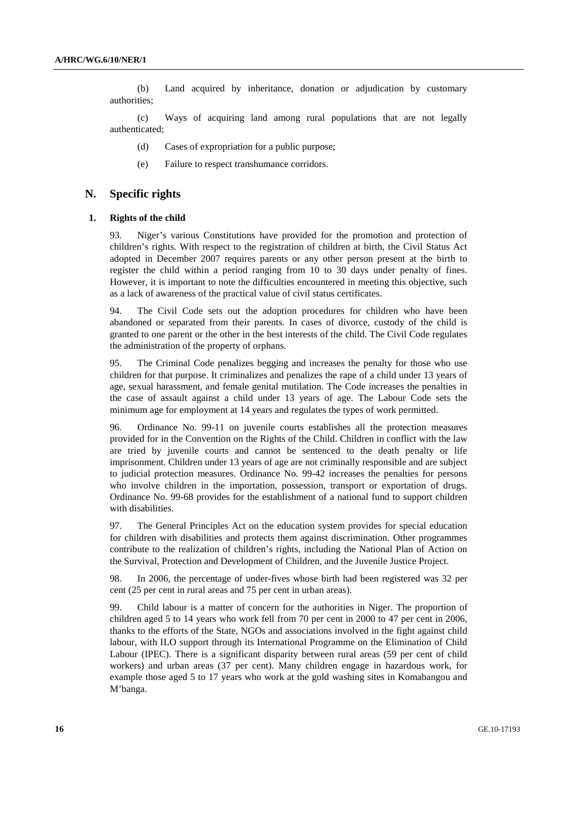(b) Land acquired by inheritance, donation or adjudication by customary authorities;

 (c) Ways of acquiring land among rural populations that are not legally authenticated;

- (d) Cases of expropriation for a public purpose;
- (e) Failure to respect transhumance corridors.

#### **N. Specific rights**

#### **1. Rights of the child**

93. Niger's various Constitutions have provided for the promotion and protection of children's rights. With respect to the registration of children at birth, the Civil Status Act adopted in December 2007 requires parents or any other person present at the birth to register the child within a period ranging from 10 to 30 days under penalty of fines. However, it is important to note the difficulties encountered in meeting this objective, such as a lack of awareness of the practical value of civil status certificates.

94. The Civil Code sets out the adoption procedures for children who have been abandoned or separated from their parents. In cases of divorce, custody of the child is granted to one parent or the other in the best interests of the child. The Civil Code regulates the administration of the property of orphans.

95. The Criminal Code penalizes begging and increases the penalty for those who use children for that purpose. It criminalizes and penalizes the rape of a child under 13 years of age, sexual harassment, and female genital mutilation. The Code increases the penalties in the case of assault against a child under 13 years of age. The Labour Code sets the minimum age for employment at 14 years and regulates the types of work permitted.

96. Ordinance No. 99-11 on juvenile courts establishes all the protection measures provided for in the Convention on the Rights of the Child. Children in conflict with the law are tried by juvenile courts and cannot be sentenced to the death penalty or life imprisonment. Children under 13 years of age are not criminally responsible and are subject to judicial protection measures. Ordinance No. 99-42 increases the penalties for persons who involve children in the importation, possession, transport or exportation of drugs. Ordinance No. 99-68 provides for the establishment of a national fund to support children with disabilities.

97. The General Principles Act on the education system provides for special education for children with disabilities and protects them against discrimination. Other programmes contribute to the realization of children's rights, including the National Plan of Action on the Survival, Protection and Development of Children, and the Juvenile Justice Project.

98. In 2006, the percentage of under-fives whose birth had been registered was 32 per cent (25 per cent in rural areas and 75 per cent in urban areas).

99. Child labour is a matter of concern for the authorities in Niger. The proportion of children aged 5 to 14 years who work fell from 70 per cent in 2000 to 47 per cent in 2006, thanks to the efforts of the State, NGOs and associations involved in the fight against child labour, with ILO support through its International Programme on the Elimination of Child Labour (IPEC). There is a significant disparity between rural areas (59 per cent of child workers) and urban areas (37 per cent). Many children engage in hazardous work, for example those aged 5 to 17 years who work at the gold washing sites in Komabangou and M'banga.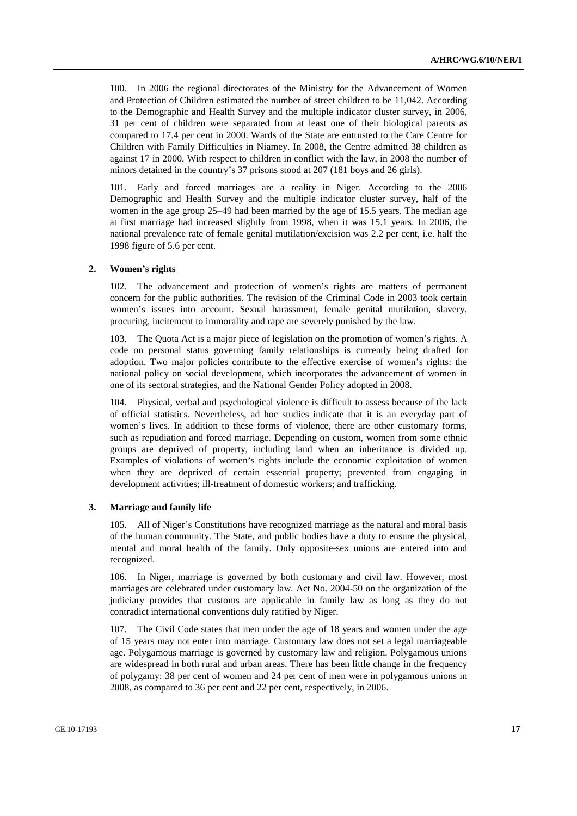100. In 2006 the regional directorates of the Ministry for the Advancement of Women and Protection of Children estimated the number of street children to be 11,042. According to the Demographic and Health Survey and the multiple indicator cluster survey, in 2006, 31 per cent of children were separated from at least one of their biological parents as compared to 17.4 per cent in 2000. Wards of the State are entrusted to the Care Centre for Children with Family Difficulties in Niamey. In 2008, the Centre admitted 38 children as against 17 in 2000. With respect to children in conflict with the law, in 2008 the number of minors detained in the country's 37 prisons stood at 207 (181 boys and 26 girls).

101. Early and forced marriages are a reality in Niger. According to the 2006 Demographic and Health Survey and the multiple indicator cluster survey, half of the women in the age group 25–49 had been married by the age of 15.5 years. The median age at first marriage had increased slightly from 1998, when it was 15.1 years. In 2006, the national prevalence rate of female genital mutilation/excision was 2.2 per cent, i.e. half the 1998 figure of 5.6 per cent.

#### **2. Women's rights**

102. The advancement and protection of women's rights are matters of permanent concern for the public authorities. The revision of the Criminal Code in 2003 took certain women's issues into account. Sexual harassment, female genital mutilation, slavery, procuring, incitement to immorality and rape are severely punished by the law.

103. The Quota Act is a major piece of legislation on the promotion of women's rights. A code on personal status governing family relationships is currently being drafted for adoption. Two major policies contribute to the effective exercise of women's rights: the national policy on social development, which incorporates the advancement of women in one of its sectoral strategies, and the National Gender Policy adopted in 2008.

104. Physical, verbal and psychological violence is difficult to assess because of the lack of official statistics. Nevertheless, ad hoc studies indicate that it is an everyday part of women's lives. In addition to these forms of violence, there are other customary forms, such as repudiation and forced marriage. Depending on custom, women from some ethnic groups are deprived of property, including land when an inheritance is divided up. Examples of violations of women's rights include the economic exploitation of women when they are deprived of certain essential property; prevented from engaging in development activities; ill-treatment of domestic workers; and trafficking.

#### **3. Marriage and family life**

105. All of Niger's Constitutions have recognized marriage as the natural and moral basis of the human community. The State, and public bodies have a duty to ensure the physical, mental and moral health of the family. Only opposite-sex unions are entered into and recognized.

106. In Niger, marriage is governed by both customary and civil law. However, most marriages are celebrated under customary law. Act No. 2004-50 on the organization of the judiciary provides that customs are applicable in family law as long as they do not contradict international conventions duly ratified by Niger.

107. The Civil Code states that men under the age of 18 years and women under the age of 15 years may not enter into marriage. Customary law does not set a legal marriageable age. Polygamous marriage is governed by customary law and religion. Polygamous unions are widespread in both rural and urban areas. There has been little change in the frequency of polygamy: 38 per cent of women and 24 per cent of men were in polygamous unions in 2008, as compared to 36 per cent and 22 per cent, respectively, in 2006.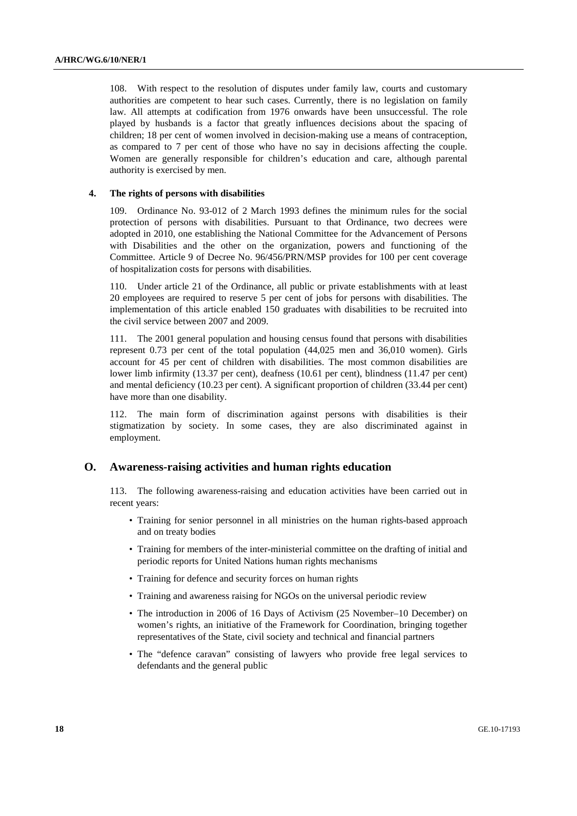108. With respect to the resolution of disputes under family law, courts and customary authorities are competent to hear such cases. Currently, there is no legislation on family law. All attempts at codification from 1976 onwards have been unsuccessful. The role played by husbands is a factor that greatly influences decisions about the spacing of children; 18 per cent of women involved in decision-making use a means of contraception, as compared to 7 per cent of those who have no say in decisions affecting the couple. Women are generally responsible for children's education and care, although parental authority is exercised by men.

#### **4. The rights of persons with disabilities**

109. Ordinance No. 93-012 of 2 March 1993 defines the minimum rules for the social protection of persons with disabilities. Pursuant to that Ordinance, two decrees were adopted in 2010, one establishing the National Committee for the Advancement of Persons with Disabilities and the other on the organization, powers and functioning of the Committee. Article 9 of Decree No. 96/456/PRN/MSP provides for 100 per cent coverage of hospitalization costs for persons with disabilities.

110. Under article 21 of the Ordinance, all public or private establishments with at least 20 employees are required to reserve 5 per cent of jobs for persons with disabilities. The implementation of this article enabled 150 graduates with disabilities to be recruited into the civil service between 2007 and 2009.

111. The 2001 general population and housing census found that persons with disabilities represent 0.73 per cent of the total population (44,025 men and 36,010 women). Girls account for 45 per cent of children with disabilities. The most common disabilities are lower limb infirmity (13.37 per cent), deafness (10.61 per cent), blindness (11.47 per cent) and mental deficiency (10.23 per cent). A significant proportion of children (33.44 per cent) have more than one disability.

112. The main form of discrimination against persons with disabilities is their stigmatization by society. In some cases, they are also discriminated against in employment.

#### **O. Awareness-raising activities and human rights education**

113. The following awareness-raising and education activities have been carried out in recent years:

- Training for senior personnel in all ministries on the human rights-based approach and on treaty bodies
- Training for members of the inter-ministerial committee on the drafting of initial and periodic reports for United Nations human rights mechanisms
- Training for defence and security forces on human rights
- Training and awareness raising for NGOs on the universal periodic review
- The introduction in 2006 of 16 Days of Activism (25 November–10 December) on women's rights, an initiative of the Framework for Coordination, bringing together representatives of the State, civil society and technical and financial partners
- The "defence caravan" consisting of lawyers who provide free legal services to defendants and the general public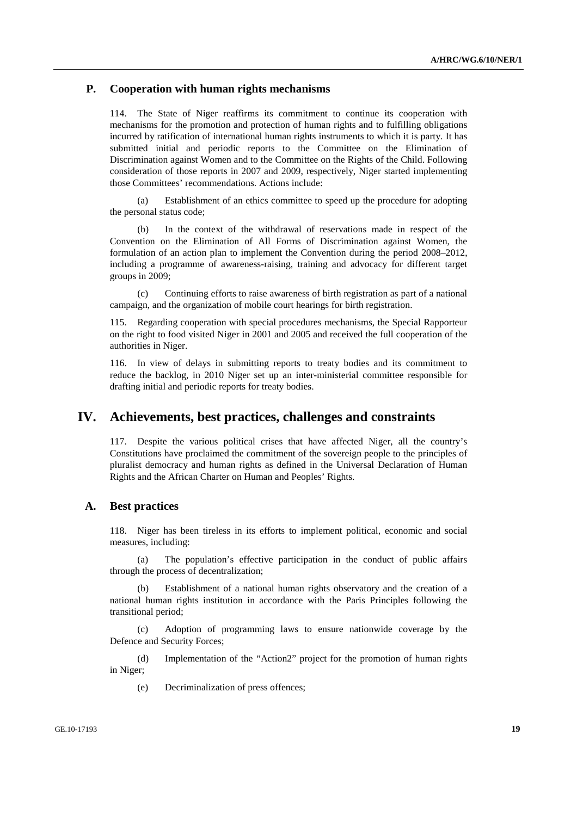### **P. Cooperation with human rights mechanisms**

114. The State of Niger reaffirms its commitment to continue its cooperation with mechanisms for the promotion and protection of human rights and to fulfilling obligations incurred by ratification of international human rights instruments to which it is party. It has submitted initial and periodic reports to the Committee on the Elimination of Discrimination against Women and to the Committee on the Rights of the Child. Following consideration of those reports in 2007 and 2009, respectively, Niger started implementing those Committees' recommendations. Actions include:

 (a) Establishment of an ethics committee to speed up the procedure for adopting the personal status code;

 (b) In the context of the withdrawal of reservations made in respect of the Convention on the Elimination of All Forms of Discrimination against Women, the formulation of an action plan to implement the Convention during the period 2008–2012, including a programme of awareness-raising, training and advocacy for different target groups in 2009;

 (c) Continuing efforts to raise awareness of birth registration as part of a national campaign, and the organization of mobile court hearings for birth registration.

115. Regarding cooperation with special procedures mechanisms, the Special Rapporteur on the right to food visited Niger in 2001 and 2005 and received the full cooperation of the authorities in Niger.

116. In view of delays in submitting reports to treaty bodies and its commitment to reduce the backlog, in 2010 Niger set up an inter-ministerial committee responsible for drafting initial and periodic reports for treaty bodies.

## **IV. Achievements, best practices, challenges and constraints**

117. Despite the various political crises that have affected Niger, all the country's Constitutions have proclaimed the commitment of the sovereign people to the principles of pluralist democracy and human rights as defined in the Universal Declaration of Human Rights and the African Charter on Human and Peoples' Rights.

### **A. Best practices**

118. Niger has been tireless in its efforts to implement political, economic and social measures, including:

 (a) The population's effective participation in the conduct of public affairs through the process of decentralization;

 (b) Establishment of a national human rights observatory and the creation of a national human rights institution in accordance with the Paris Principles following the transitional period;

 (c) Adoption of programming laws to ensure nationwide coverage by the Defence and Security Forces;

 (d) Implementation of the "Action2" project for the promotion of human rights in Niger;

(e) Decriminalization of press offences;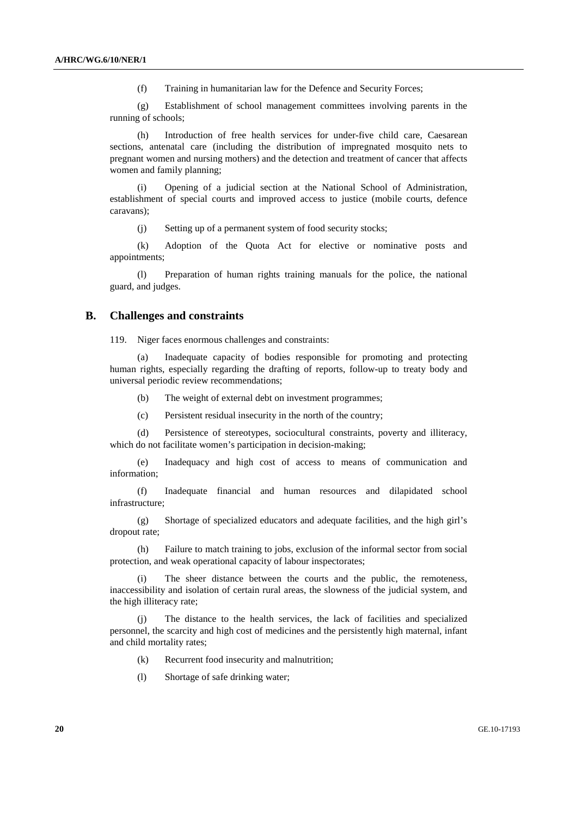(f) Training in humanitarian law for the Defence and Security Forces;

 (g) Establishment of school management committees involving parents in the running of schools;

 (h) Introduction of free health services for under-five child care, Caesarean sections, antenatal care (including the distribution of impregnated mosquito nets to pregnant women and nursing mothers) and the detection and treatment of cancer that affects women and family planning;

 (i) Opening of a judicial section at the National School of Administration, establishment of special courts and improved access to justice (mobile courts, defence caravans);

(j) Setting up of a permanent system of food security stocks;

 (k) Adoption of the Quota Act for elective or nominative posts and appointments;

 (l) Preparation of human rights training manuals for the police, the national guard, and judges.

#### **B. Challenges and constraints**

119. Niger faces enormous challenges and constraints:

 (a) Inadequate capacity of bodies responsible for promoting and protecting human rights, especially regarding the drafting of reports, follow-up to treaty body and universal periodic review recommendations;

(b) The weight of external debt on investment programmes;

(c) Persistent residual insecurity in the north of the country;

 (d) Persistence of stereotypes, sociocultural constraints, poverty and illiteracy, which do not facilitate women's participation in decision-making;

 (e) Inadequacy and high cost of access to means of communication and information;

 (f) Inadequate financial and human resources and dilapidated school infrastructure;

 (g) Shortage of specialized educators and adequate facilities, and the high girl's dropout rate;

 (h) Failure to match training to jobs, exclusion of the informal sector from social protection, and weak operational capacity of labour inspectorates;

 (i) The sheer distance between the courts and the public, the remoteness, inaccessibility and isolation of certain rural areas, the slowness of the judicial system, and the high illiteracy rate;

 (j) The distance to the health services, the lack of facilities and specialized personnel, the scarcity and high cost of medicines and the persistently high maternal, infant and child mortality rates;

(k) Recurrent food insecurity and malnutrition;

(l) Shortage of safe drinking water;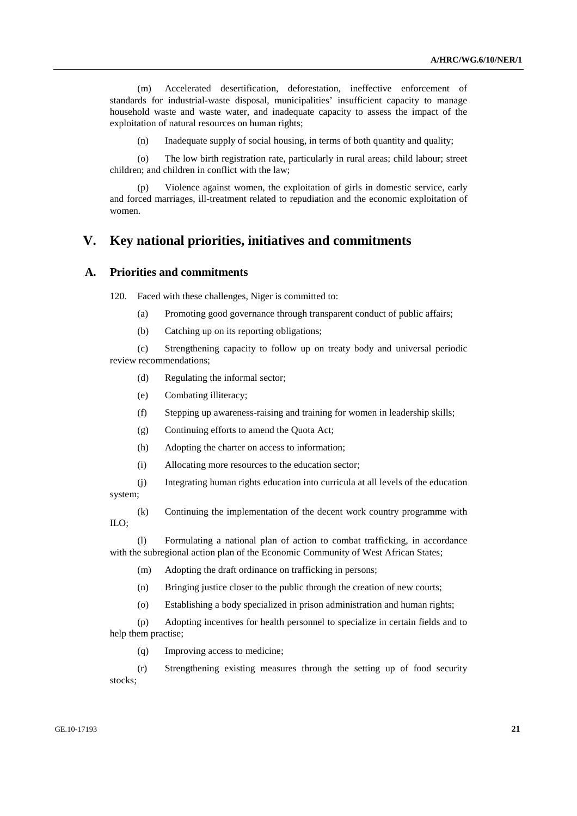(m) Accelerated desertification, deforestation, ineffective enforcement of standards for industrial-waste disposal, municipalities' insufficient capacity to manage household waste and waste water, and inadequate capacity to assess the impact of the exploitation of natural resources on human rights;

(n) Inadequate supply of social housing, in terms of both quantity and quality;

 (o) The low birth registration rate, particularly in rural areas; child labour; street children; and children in conflict with the law;

 (p) Violence against women, the exploitation of girls in domestic service, early and forced marriages, ill-treatment related to repudiation and the economic exploitation of women.

# **V. Key national priorities, initiatives and commitments**

### **A. Priorities and commitments**

120. Faced with these challenges, Niger is committed to:

- (a) Promoting good governance through transparent conduct of public affairs;
- (b) Catching up on its reporting obligations;

 (c) Strengthening capacity to follow up on treaty body and universal periodic review recommendations;

- (d) Regulating the informal sector;
- (e) Combating illiteracy;
- (f) Stepping up awareness-raising and training for women in leadership skills;
- (g) Continuing efforts to amend the Quota Act;
- (h) Adopting the charter on access to information;
- (i) Allocating more resources to the education sector;

 (j) Integrating human rights education into curricula at all levels of the education system;

 (k) Continuing the implementation of the decent work country programme with ILO;

 (l) Formulating a national plan of action to combat trafficking, in accordance with the subregional action plan of the Economic Community of West African States;

(m) Adopting the draft ordinance on trafficking in persons;

(n) Bringing justice closer to the public through the creation of new courts;

(o) Establishing a body specialized in prison administration and human rights;

 (p) Adopting incentives for health personnel to specialize in certain fields and to help them practise;

(q) Improving access to medicine;

 (r) Strengthening existing measures through the setting up of food security stocks: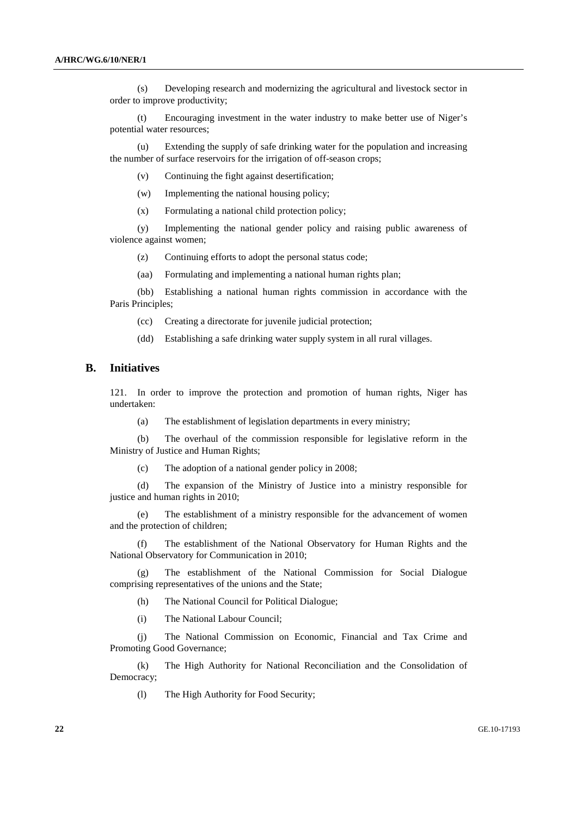(s) Developing research and modernizing the agricultural and livestock sector in order to improve productivity;

 (t) Encouraging investment in the water industry to make better use of Niger's potential water resources;

 (u) Extending the supply of safe drinking water for the population and increasing the number of surface reservoirs for the irrigation of off-season crops;

(v) Continuing the fight against desertification;

(w) Implementing the national housing policy;

(x) Formulating a national child protection policy;

 (y) Implementing the national gender policy and raising public awareness of violence against women;

(z) Continuing efforts to adopt the personal status code;

(aa) Formulating and implementing a national human rights plan;

 (bb) Establishing a national human rights commission in accordance with the Paris Principles;

(cc) Creating a directorate for juvenile judicial protection;

(dd) Establishing a safe drinking water supply system in all rural villages.

#### **B. Initiatives**

121. In order to improve the protection and promotion of human rights, Niger has undertaken:

(a) The establishment of legislation departments in every ministry;

 (b) The overhaul of the commission responsible for legislative reform in the Ministry of Justice and Human Rights;

(c) The adoption of a national gender policy in 2008;

 (d) The expansion of the Ministry of Justice into a ministry responsible for justice and human rights in 2010;

 (e) The establishment of a ministry responsible for the advancement of women and the protection of children;

 (f) The establishment of the National Observatory for Human Rights and the National Observatory for Communication in 2010;

 (g) The establishment of the National Commission for Social Dialogue comprising representatives of the unions and the State;

(h) The National Council for Political Dialogue;

(i) The National Labour Council;

 (j) The National Commission on Economic, Financial and Tax Crime and Promoting Good Governance;

 (k) The High Authority for National Reconciliation and the Consolidation of Democracy;

(l) The High Authority for Food Security;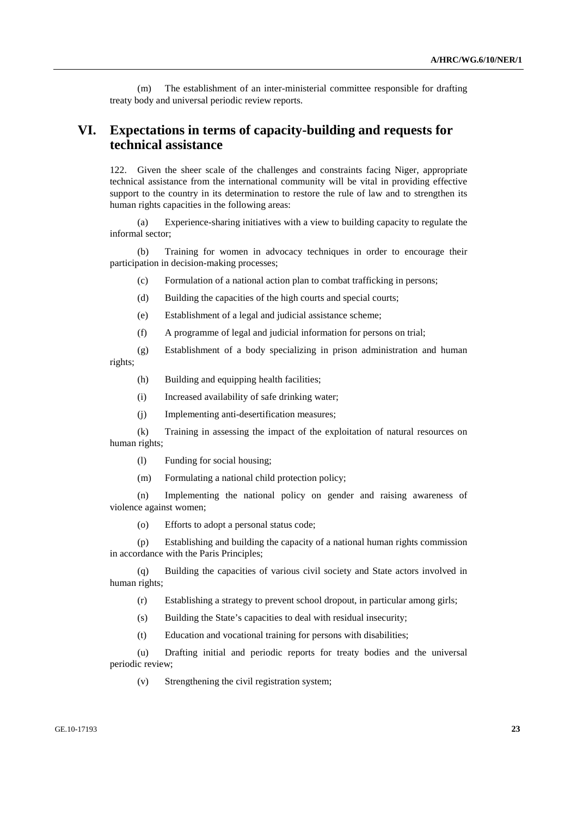(m) The establishment of an inter-ministerial committee responsible for drafting treaty body and universal periodic review reports.

# **VI. Expectations in terms of capacity-building and requests for technical assistance**

122. Given the sheer scale of the challenges and constraints facing Niger, appropriate technical assistance from the international community will be vital in providing effective support to the country in its determination to restore the rule of law and to strengthen its human rights capacities in the following areas:

 (a) Experience-sharing initiatives with a view to building capacity to regulate the informal sector;

 (b) Training for women in advocacy techniques in order to encourage their participation in decision-making processes;

- (c) Formulation of a national action plan to combat trafficking in persons;
- (d) Building the capacities of the high courts and special courts;
- (e) Establishment of a legal and judicial assistance scheme;
- (f) A programme of legal and judicial information for persons on trial;
- (g) Establishment of a body specializing in prison administration and human rights;
	- (h) Building and equipping health facilities;
	- (i) Increased availability of safe drinking water;
	- (j) Implementing anti-desertification measures;

 (k) Training in assessing the impact of the exploitation of natural resources on human rights;

- (l) Funding for social housing;
- (m) Formulating a national child protection policy;

 (n) Implementing the national policy on gender and raising awareness of violence against women;

(o) Efforts to adopt a personal status code;

 (p) Establishing and building the capacity of a national human rights commission in accordance with the Paris Principles;

 (q) Building the capacities of various civil society and State actors involved in human rights;

(r) Establishing a strategy to prevent school dropout, in particular among girls;

- (s) Building the State's capacities to deal with residual insecurity;
- (t) Education and vocational training for persons with disabilities;

 (u) Drafting initial and periodic reports for treaty bodies and the universal periodic review;

(v) Strengthening the civil registration system;